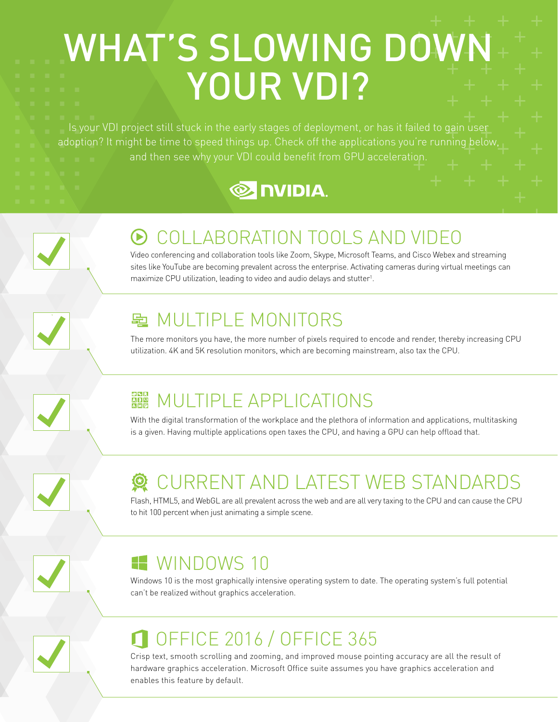# WHAT'S SLOWING DOWN YOUR VDI?

Is your VDI project still stuck in the early stages of deployment, or has it failed to gain user adoption? It might be time to speed things up. Check off the applications you're running below, and then see why your VDI could benefit from GPU acceleration.





#### COLLABORATION TOOLS AND VIDEO

Video conferencing and collaboration tools like Zoom, Skype, Microsoft Teams, and Cisco Webex and streaming sites like YouTube are becoming prevalent across the enterprise. Activating cameras during virtual meetings can maximize CPU utilization, leading to video and audio delays and stutter<sup>1</sup>.

#### **配 MULTIPLE MONITORS**

The more monitors you have, the more number of pixels required to encode and render, thereby increasing CPU utilization. 4K and 5K resolution monitors, which are becoming mainstream, also tax the CPU.

### **NULTIPLE APPLICATIONS**

With the digital transformation of the workplace and the plethora of information and applications, multitasking is a given. Having multiple applications open taxes the CPU, and having a GPU can help offload that.

# CURRENT AND LATEST WEB STANDARDS

Flash, HTML5, and WebGL are all prevalent across the web and are all very taxing to the CPU and can cause the CPU to hit 100 percent when just animating a simple scene.

### **WINDOWS 10**

Windows 10 is the most graphically intensive operating system to date. The operating system's full potential can't be realized without graphics acceleration.

## OFFICE 2016 / OFFICE 365

Crisp text, smooth scrolling and zooming, and improved mouse pointing accuracy are all the result of hardware graphics acceleration. Microsoft Office suite assumes you have graphics acceleration and enables this feature by default.